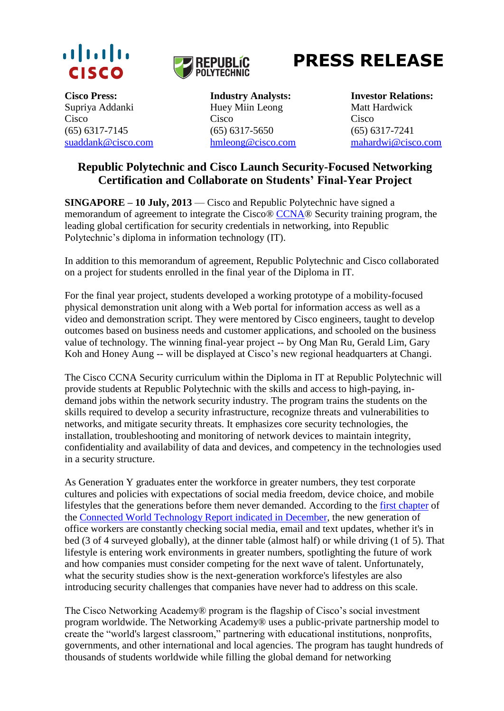



# **PRESS RELEASE**

Supriya Addanki Cisco

**Cisco Press: Industry Analysts: Investor Relations:** Huey Miin Leong Cisco (65) 6317-7145 (65) 6317-5650 (65) 6317-7241

Matt Hardwick Cisco [suaddank@cisco.com](mailto:suaddank@cisco.com) [hmleong@cisco.com](mailto:hmleong@cisco.com) [mahardwi@cisco.com](mailto:mahardwi@cisco.com)

# **Republic Polytechnic and Cisco Launch Security-Focused Networking Certification and Collaborate on Students' Final-Year Project**

**SINGAPORE – 10 July, 2013** — Cisco and Republic Polytechnic have signed a memorandum of agreement to integrate the Cisco® [CCNA®](https://learningnetwork.cisco.com/community/certifications/security_ccna) Security training program, the leading global certification for security credentials in networking, into Republic Polytechnic's diploma in information technology (IT).

In addition to this memorandum of agreement, Republic Polytechnic and Cisco collaborated on a project for students enrolled in the final year of the Diploma in IT.

For the final year project, students developed a working prototype of a mobility-focused physical demonstration unit along with a Web portal for information access as well as a video and demonstration script. They were mentored by Cisco engineers, taught to develop outcomes based on business needs and customer applications, and schooled on the business value of technology. The winning final-year project -- by Ong Man Ru, Gerald Lim, Gary Koh and Honey Aung -- will be displayed at Cisco's new regional headquarters at Changi.

The Cisco CCNA Security curriculum within the Diploma in IT at Republic Polytechnic will provide students at Republic Polytechnic with the skills and access to high-paying, indemand jobs within the network security industry. The program trains the students on the skills required to develop a security infrastructure, recognize threats and vulnerabilities to networks, and mitigate security threats. It emphasizes core security technologies, the installation, troubleshooting and monitoring of network devices to maintain integrity, confidentiality and availability of data and devices, and competency in the technologies used in a security structure.

As Generation Y graduates enter the workforce in greater numbers, they test corporate cultures and policies with expectations of social media freedom, device choice, and mobile lifestyles that the generations before them never demanded. According to the [first chapter](http://newsroom.cisco.com/release/1114955) of the [Connected World Technology Report indicated in December,](http://newsroom.cisco.com/release/1114955) the new generation of office workers are constantly checking social media, email and text updates, whether it's in bed (3 of 4 surveyed globally), at the dinner table (almost half) or while driving (1 of 5). That lifestyle is entering work environments in greater numbers, spotlighting the future of work and how companies must consider competing for the next wave of talent. Unfortunately, what the security studies show is the next-generation workforce's lifestyles are also introducing security challenges that companies have never had to address on this scale.

The Cisco Networking Academy® program is the flagship of Cisco's social investment program worldwide. The Networking Academy® uses a public-private partnership model to create the "world's largest classroom," partnering with educational institutions, nonprofits, governments, and other international and local agencies. The program has taught hundreds of thousands of students worldwide while filling the global demand for networking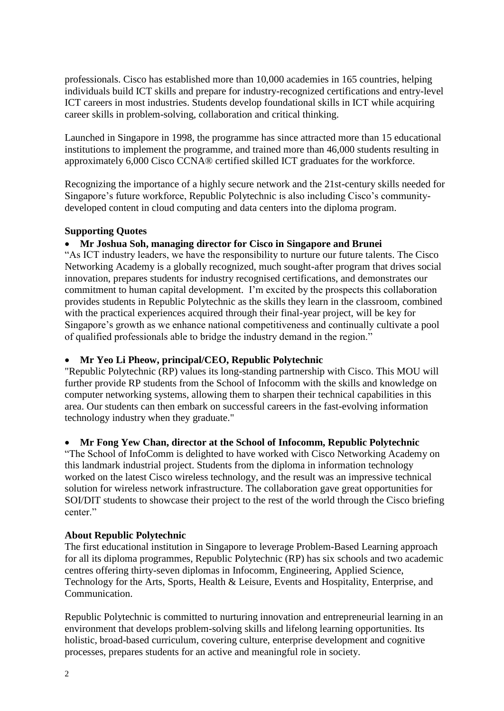professionals. Cisco has established more than 10,000 academies in 165 countries, helping individuals build ICT skills and prepare for industry-recognized certifications and entry-level ICT careers in most industries. Students develop foundational skills in ICT while acquiring career skills in problem-solving, collaboration and critical thinking.

Launched in Singapore in 1998, the programme has since attracted more than 15 educational institutions to implement the programme, and trained more than 46,000 students resulting in approximately 6,000 Cisco CCNA® certified skilled ICT graduates for the workforce.

Recognizing the importance of a highly secure network and the 21st-century skills needed for Singapore's future workforce, Republic Polytechnic is also including Cisco's communitydeveloped content in cloud computing and data centers into the diploma program.

# **Supporting Quotes**

### **Mr Joshua Soh, managing director for Cisco in Singapore and Brunei**

"As ICT industry leaders, we have the responsibility to nurture our future talents. The Cisco Networking Academy is a globally recognized, much sought-after program that drives social innovation, prepares students for industry recognised certifications, and demonstrates our commitment to human capital development. I'm excited by the prospects this collaboration provides students in Republic Polytechnic as the skills they learn in the classroom, combined with the practical experiences acquired through their final-year project, will be key for Singapore's growth as we enhance national competitiveness and continually cultivate a pool of qualified professionals able to bridge the industry demand in the region."

## **Mr Yeo Li Pheow, principal/CEO, Republic Polytechnic**

"Republic Polytechnic (RP) values its long-standing partnership with Cisco. This MOU will further provide RP students from the School of Infocomm with the skills and knowledge on computer networking systems, allowing them to sharpen their technical capabilities in this area. Our students can then embark on successful careers in the fast-evolving information technology industry when they graduate."

#### **Mr Fong Yew Chan, director at the School of Infocomm, Republic Polytechnic**

"The School of InfoComm is delighted to have worked with Cisco Networking Academy on this landmark industrial project. Students from the diploma in information technology worked on the latest Cisco wireless technology, and the result was an impressive technical solution for wireless network infrastructure. The collaboration gave great opportunities for SOI/DIT students to showcase their project to the rest of the world through the Cisco briefing center."

#### **About Republic Polytechnic**

The first educational institution in Singapore to leverage Problem-Based Learning approach for all its diploma programmes, Republic Polytechnic (RP) has six schools and two academic centres offering thirty-seven diplomas in Infocomm, Engineering, Applied Science, Technology for the Arts, Sports, Health & Leisure, Events and Hospitality, Enterprise, and Communication.

Republic Polytechnic is committed to nurturing innovation and entrepreneurial learning in an environment that develops problem-solving skills and lifelong learning opportunities. Its holistic, broad-based curriculum, covering culture, enterprise development and cognitive processes, prepares students for an active and meaningful role in society.